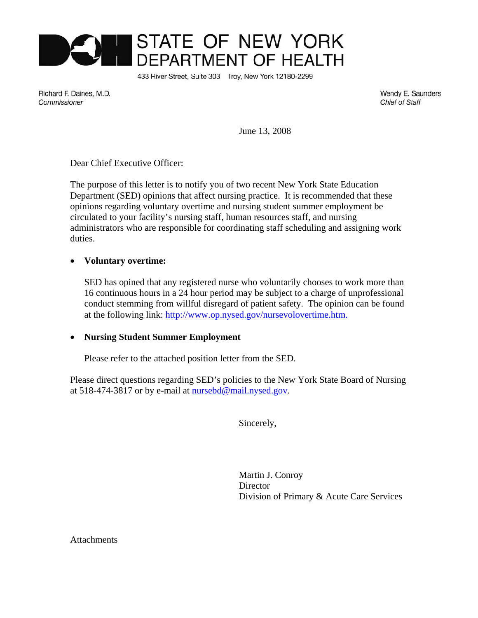

433 River Street, Suite 303 Troy, New York 12180-2299

Richard F. Daines, M.D. Commissioner

Wendy E. Saunders **Chief of Staff** 

June 13, 2008

Dear Chief Executive Officer:

The purpose of this letter is to notify you of two recent New York State Education Department (SED) opinions that affect nursing practice. It is recommended that these opinions regarding voluntary overtime and nursing student summer employment be circulated to your facility's nursing staff, human resources staff, and nursing administrators who are responsible for coordinating staff scheduling and assigning work duties.

### • **Voluntary overtime:**

SED has opined that any registered nurse who voluntarily chooses to work more than 16 continuous hours in a 24 hour period may be subject to a charge of unprofessional conduct stemming from willful disregard of patient safety. The opinion can be found at the following link: http://www.op.nysed.gov/nursevolovertime.htm.

### • **Nursing Student Summer Employment**

Please refer to the attached position letter from the SED.

Please direct questions regarding SED's policies to the New York State Board of Nursing at 518-474-3817 or by e-mail at nursebd@mail.nysed.gov.

Sincerely,

Martin J. Conroy Director Division of Primary & Acute Care Services

**Attachments**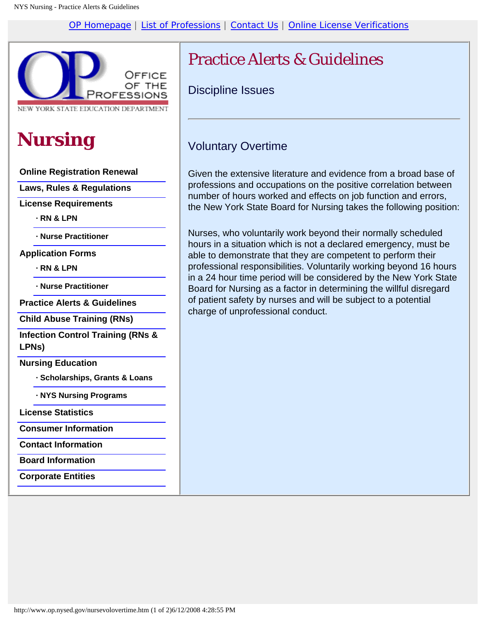[OP Homepage](http://www.op.nysed.gov/home.html) | [List of Professions](http://www.op.nysed.gov/proflist.htm) | [Contact Us](http://www.op.nysed.gov/contact.htm) | [Online License Verifications](http://www.op.nysed.gov/opsearches.htm)



NEW YORK STATE EDUCATION DEPARTMENT

# **Nursing**

**[Online Registration Renewal](http://www.op.nysed.gov/renewalinfo.htm)**

**[Laws, Rules & Regulations](http://www.op.nysed.gov/nurse.htm)**

**License Requirements**

**[· RN & LPN](http://www.op.nysed.gov/nursing.htm)**

**[· Nurse Practitioner](http://www.op.nysed.gov/np.htm)**

**Application Forms**

**[· RN & LPN](http://www.op.nysed.gov/nurseforms.htm)**

**[· Nurse Practitioner](http://www.op.nysed.gov/nurseformsnp.htm)**

**[Practice Alerts & Guidelines](http://www.op.nysed.gov/nursepracticeissues.htm)**

**[Child Abuse Training \(RNs\)](http://www.op.nysed.gov/camemo.htm)**

**[Infection Control Training \(RNs &](http://www.op.nysed.gov/icmemo.htm) [LPNs\)](http://www.op.nysed.gov/icmemo.htm)**

**Nursing Education**

**[· Scholarships, Grants & Loans](http://www.op.nysed.gov/nurse-education-scholarships-grants.htm)**

**[· NYS Nursing Programs](http://www.op.nysed.gov/nurseprogs.htm)**

**[License Statistics](http://www.op.nysed.gov/nursecounts.htm)**

**[Consumer Information](http://www.op.nysed.gov/nursebroch.htm)**

**[Contact Information](http://www.op.nysed.gov/nursecontact.htm)**

**[Board Information](http://www.op.nysed.gov/bdmemb.htm)**

**[Corporate Entities](http://www.op.nysed.gov/pcorp.htm)**

## Practice Alerts & Guidelines

Discipline Issues

### Voluntary Overtime

Given the extensive literature and evidence from a broad base of professions and occupations on the positive correlation between number of hours worked and effects on job function and errors, the New York State Board for Nursing takes the following position:

Nurses, who voluntarily work beyond their normally scheduled hours in a situation which is not a declared emergency, must be able to demonstrate that they are competent to perform their professional responsibilities. Voluntarily working beyond 16 hours in a 24 hour time period will be considered by the New York State Board for Nursing as a factor in determining the willful disregard of patient safety by nurses and will be subject to a potential charge of unprofessional conduct.